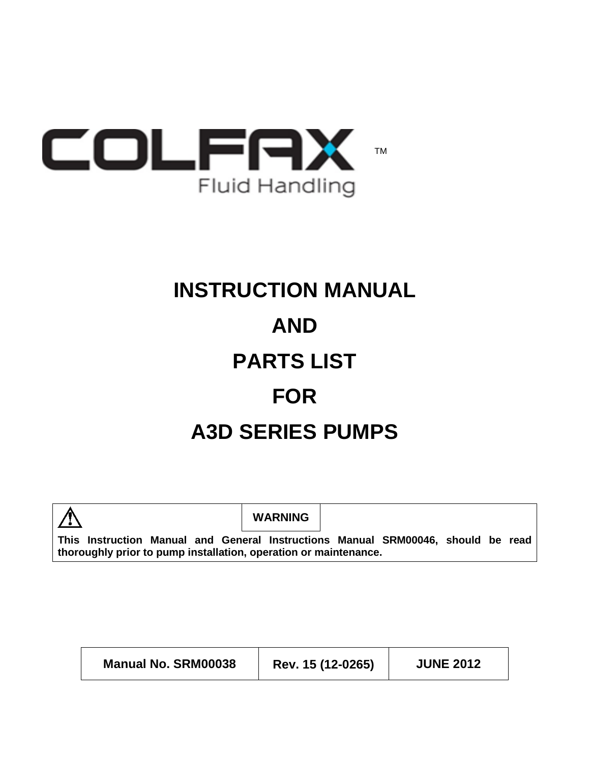

# **INSTRUCTION MANUAL AND PARTS LIST FOR A3D SERIES PUMPS**



 $\mathbf{r}$ 

**WARNING**

**This Instruction Manual and General Instructions Manual SRM00046, should be read thoroughly prior to pump installation, operation or maintenance.**

| <b>Manual No. SRM00038</b> | Rev. 15 (12-0265) | <b>JUNE 2012</b> |
|----------------------------|-------------------|------------------|
|----------------------------|-------------------|------------------|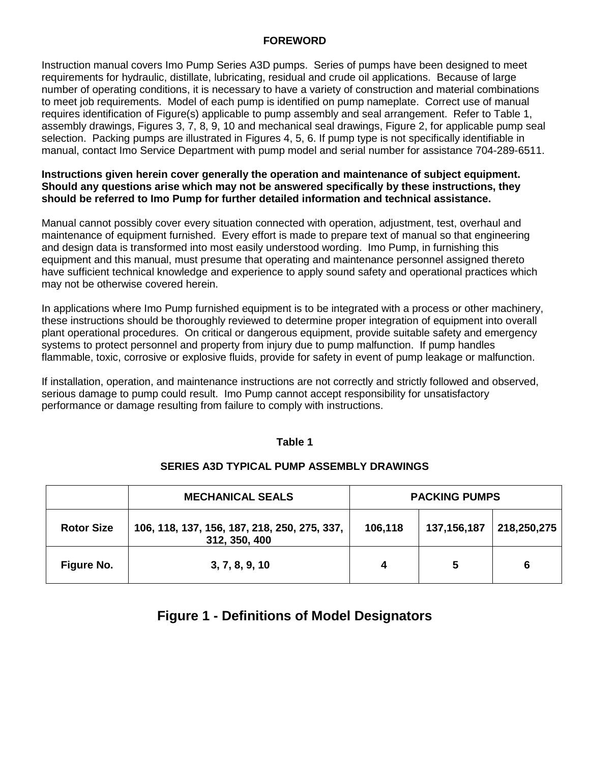#### **FOREWORD**

Instruction manual covers Imo Pump Series A3D pumps. Series of pumps have been designed to meet requirements for hydraulic, distillate, lubricating, residual and crude oil applications. Because of large number of operating conditions, it is necessary to have a variety of construction and material combinations to meet job requirements. Model of each pump is identified on pump nameplate. Correct use of manual requires identification of Figure(s) applicable to pump assembly and seal arrangement. Refer to Table 1, assembly drawings, Figures 3, 7, 8, 9, 10 and mechanical seal drawings, Figure 2, for applicable pump seal selection. Packing pumps are illustrated in Figures 4, 5, 6. If pump type is not specifically identifiable in manual, contact Imo Service Department with pump model and serial number for assistance 704-289-6511.

#### **Instructions given herein cover generally the operation and maintenance of subject equipment. Should any questions arise which may not be answered specifically by these instructions, they should be referred to Imo Pump for further detailed information and technical assistance.**

Manual cannot possibly cover every situation connected with operation, adjustment, test, overhaul and maintenance of equipment furnished. Every effort is made to prepare text of manual so that engineering and design data is transformed into most easily understood wording. Imo Pump, in furnishing this equipment and this manual, must presume that operating and maintenance personnel assigned thereto have sufficient technical knowledge and experience to apply sound safety and operational practices which may not be otherwise covered herein.

In applications where Imo Pump furnished equipment is to be integrated with a process or other machinery, these instructions should be thoroughly reviewed to determine proper integration of equipment into overall plant operational procedures. On critical or dangerous equipment, provide suitable safety and emergency systems to protect personnel and property from injury due to pump malfunction. If pump handles flammable, toxic, corrosive or explosive fluids, provide for safety in event of pump leakage or malfunction.

If installation, operation, and maintenance instructions are not correctly and strictly followed and observed, serious damage to pump could result. Imo Pump cannot accept responsibility for unsatisfactory performance or damage resulting from failure to comply with instructions.

#### **Table 1**

|                   | <b>MECHANICAL SEALS</b>                                       | <b>PACKING PUMPS</b> |             |             |
|-------------------|---------------------------------------------------------------|----------------------|-------------|-------------|
| <b>Rotor Size</b> | 106, 118, 137, 156, 187, 218, 250, 275, 337,<br>312, 350, 400 | 106,118              | 137,156,187 | 218,250,275 |
| Figure No.        | 3, 7, 8, 9, 10                                                | 4                    | 5           | 6           |

#### **SERIES A3D TYPICAL PUMP ASSEMBLY DRAWINGS**

# **Figure 1 - Definitions of Model Designators**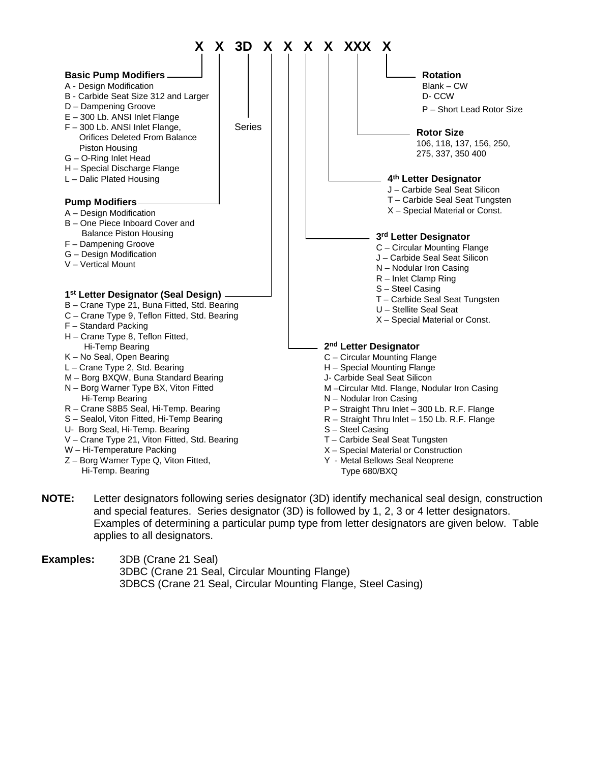

**NOTE:** Letter designators following series designator (3D) identify mechanical seal design, construction and special features. Series designator (3D) is followed by 1, 2, 3 or 4 letter designators. Examples of determining a particular pump type from letter designators are given below. Table applies to all designators.

**Examples:** 3DB (Crane 21 Seal) 3DBC (Crane 21 Seal, Circular Mounting Flange) 3DBCS (Crane 21 Seal, Circular Mounting Flange, Steel Casing)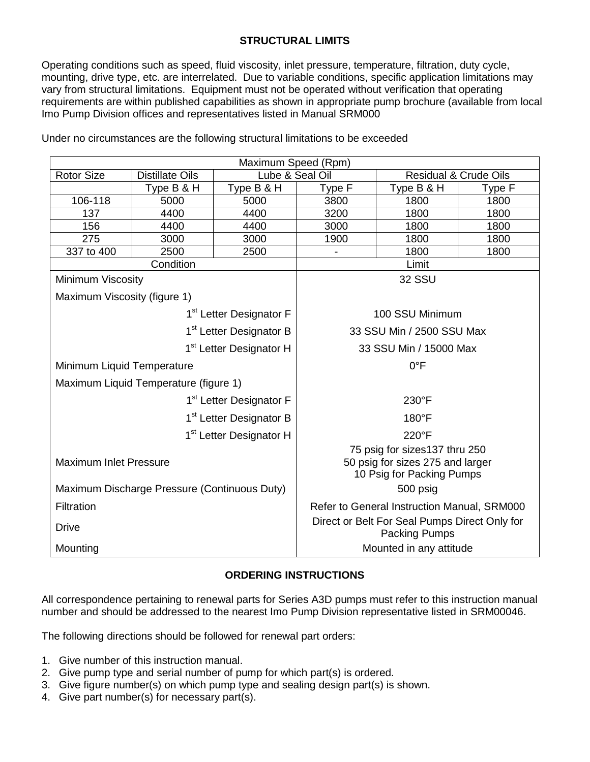## **STRUCTURAL LIMITS**

Operating conditions such as speed, fluid viscosity, inlet pressure, temperature, filtration, duty cycle, mounting, drive type, etc. are interrelated. Due to variable conditions, specific application limitations may vary from structural limitations. Equipment must not be operated without verification that operating requirements are within published capabilities as shown in appropriate pump brochure (available from local Imo Pump Division offices and representatives listed in Manual SRM000

| Maximum Speed (Rpm)                          |                        |                                                                                                |                           |                                  |        |
|----------------------------------------------|------------------------|------------------------------------------------------------------------------------------------|---------------------------|----------------------------------|--------|
| <b>Rotor Size</b>                            | <b>Distillate Oils</b> | Lube & Seal Oil                                                                                |                           | <b>Residual &amp; Crude Oils</b> |        |
|                                              | Type B & H             | Type B & H                                                                                     | Type F                    | Type B & H                       | Type F |
| 106-118                                      | 5000                   | 5000                                                                                           | 3800                      | 1800                             | 1800   |
| 137                                          | 4400                   | 4400                                                                                           | 3200                      | 1800                             | 1800   |
| 156                                          | 4400                   | 4400                                                                                           | 3000                      | 1800                             | 1800   |
| 275                                          | 3000                   | 3000                                                                                           | 1900                      | 1800                             | 1800   |
| 337 to 400                                   | 2500                   | 2500                                                                                           |                           | 1800                             | 1800   |
|                                              | Condition              |                                                                                                |                           | Limit                            |        |
| Minimum Viscosity                            |                        |                                                                                                | <b>32 SSU</b>             |                                  |        |
| Maximum Viscosity (figure 1)                 |                        |                                                                                                |                           |                                  |        |
|                                              |                        | 1 <sup>st</sup> Letter Designator F                                                            | 100 SSU Minimum           |                                  |        |
|                                              |                        | 1 <sup>st</sup> Letter Designator B                                                            | 33 SSU Min / 2500 SSU Max |                                  |        |
| 1 <sup>st</sup> Letter Designator H          |                        | 33 SSU Min / 15000 Max                                                                         |                           |                                  |        |
| Minimum Liquid Temperature                   |                        | $0^{\circ}$ F                                                                                  |                           |                                  |        |
| Maximum Liquid Temperature (figure 1)        |                        |                                                                                                |                           |                                  |        |
| 1 <sup>st</sup> Letter Designator F          |                        |                                                                                                |                           | 230°F                            |        |
| 1 <sup>st</sup> Letter Designator B          |                        | 180°F                                                                                          |                           |                                  |        |
| 1 <sup>st</sup> Letter Designator H          |                        | 220°F                                                                                          |                           |                                  |        |
| <b>Maximum Inlet Pressure</b>                |                        | 75 psig for sizes137 thru 250<br>50 psig for sizes 275 and larger<br>10 Psig for Packing Pumps |                           |                                  |        |
| Maximum Discharge Pressure (Continuous Duty) |                        | 500 psig                                                                                       |                           |                                  |        |
| Filtration                                   |                        | Refer to General Instruction Manual, SRM000                                                    |                           |                                  |        |
| <b>Drive</b>                                 |                        | Direct or Belt For Seal Pumps Direct Only for<br><b>Packing Pumps</b>                          |                           |                                  |        |
| Mounting                                     |                        |                                                                                                | Mounted in any attitude   |                                  |        |

Under no circumstances are the following structural limitations to be exceeded

## **ORDERING INSTRUCTIONS**

All correspondence pertaining to renewal parts for Series A3D pumps must refer to this instruction manual number and should be addressed to the nearest Imo Pump Division representative listed in SRM00046.

The following directions should be followed for renewal part orders:

- 1. Give number of this instruction manual.
- 2. Give pump type and serial number of pump for which part(s) is ordered.
- 3. Give figure number(s) on which pump type and sealing design part(s) is shown.
- 4. Give part number(s) for necessary part(s).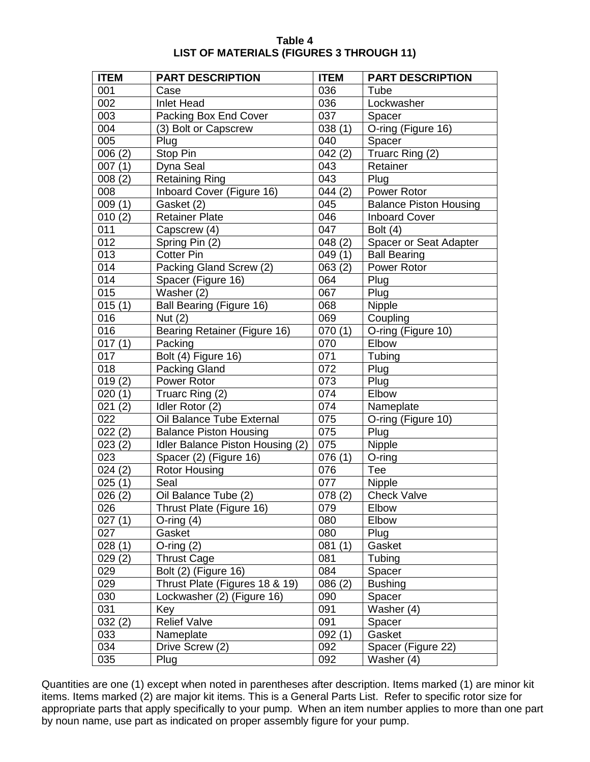| Table 4                                         |
|-------------------------------------------------|
| <b>LIST OF MATERIALS (FIGURES 3 THROUGH 11)</b> |

| <b>ITEM</b>         | <b>PART DESCRIPTION</b>          | <b>ITEM</b>      | <b>PART DESCRIPTION</b>       |
|---------------------|----------------------------------|------------------|-------------------------------|
| 001                 | Case                             | 036              | Tube                          |
| 002                 | <b>Inlet Head</b>                | 036              | Lockwasher                    |
| 003                 | Packing Box End Cover            | 037              | Spacer                        |
| 004                 | (3) Bolt or Capscrew             | 038(1)           | O-ring (Figure 16)            |
| 005                 | Plug                             | 040              | Spacer                        |
| 006(2)              | Stop Pin                         | 042(2)           | Truarc Ring (2)               |
| 007(1)              | Dyna Seal                        | 043              | Retainer                      |
| 008(2)              | <b>Retaining Ring</b>            | 043              | Plug                          |
| 008                 | Inboard Cover (Figure 16)        | 044(2)           | Power Rotor                   |
| 009(1)              | Gasket (2)                       | 045              | <b>Balance Piston Housing</b> |
| 010(2)              | <b>Retainer Plate</b>            | 046              | <b>Inboard Cover</b>          |
| 011                 | Capscrew (4)                     | $\overline{047}$ | Bolt $(4)$                    |
| 012                 | Spring Pin (2)                   | 048(2)           | Spacer or Seat Adapter        |
| 013                 | <b>Cotter Pin</b>                | 049(1)           | <b>Ball Bearing</b>           |
| 014                 | Packing Gland Screw (2)          | 063(2)           | Power Rotor                   |
| 014                 | Spacer (Figure 16)               | 064              | Plug                          |
| 015                 | Washer (2)                       | 067              | Plug                          |
| 015(1)              | Ball Bearing (Figure 16)         | 068              | Nipple                        |
| 016                 | Nut $(2)$                        | 069              | Coupling                      |
| 016                 | Bearing Retainer (Figure 16)     | 070(1)           | O-ring (Figure 10)            |
| 017(1)              | Packing                          | 070              | Elbow                         |
| 017                 | Bolt (4) Figure 16)              | 071              | Tubing                        |
| 018                 | Packing Gland                    | 072              | Plug                          |
| $\overline{0}19(2)$ | Power Rotor                      | 073              | Plug                          |
| 020(1)              | Truarc Ring (2)                  | 074              | Elbow                         |
| 021(2)              | Idler Rotor (2)                  | 074              | Nameplate                     |
| 022                 | Oil Balance Tube External        | 075              | O-ring (Figure 10)            |
| 022(2)              | <b>Balance Piston Housing</b>    | 075              | Plug                          |
| $\overline{0}23(2)$ | Idler Balance Piston Housing (2) | 075              | Nipple                        |
| 023                 | Spacer (2) (Figure 16)           | 076(1)           | O-ring                        |
| 024(2)              | <b>Rotor Housing</b>             | 076              | Tee                           |
| 025(1)              | Seal                             | 077              | Nipple                        |
| 026(2)              | Oil Balance Tube (2)             | 078(2)           | <b>Check Valve</b>            |
| 026                 | Thrust Plate (Figure 16)         | 079              | Elbow                         |
| 027(1)              | O-ring $(4)$                     | 080              | Elbow                         |
| 027                 | Gasket                           | 080              | Plug                          |
| 028(1)              | O-ring $(2)$                     | 081(1)           | Gasket                        |
| 029(2)              | <b>Thrust Cage</b>               | 081              | Tubing                        |
| 029                 | Bolt (2) (Figure 16)             | 084              | Spacer                        |
| 029                 | Thrust Plate (Figures 18 & 19)   | 086(2)           | <b>Bushing</b>                |
| 030                 | Lockwasher (2) (Figure 16)       | 090              | Spacer                        |
| 031                 | Key                              | 091              | Washer (4)                    |
| 032(2)              | <b>Relief Valve</b>              | 091              | Spacer                        |
| 033                 | Nameplate                        | 092(1)           | Gasket                        |
| 034                 | Drive Screw (2)                  | 092              | Spacer (Figure 22)            |
| 035                 | Plug                             | 092              | Washer (4)                    |

Quantities are one (1) except when noted in parentheses after description. Items marked (1) are minor kit items. Items marked (2) are major kit items. This is a General Parts List. Refer to specific rotor size for appropriate parts that apply specifically to your pump. When an item number applies to more than one part by noun name, use part as indicated on proper assembly figure for your pump.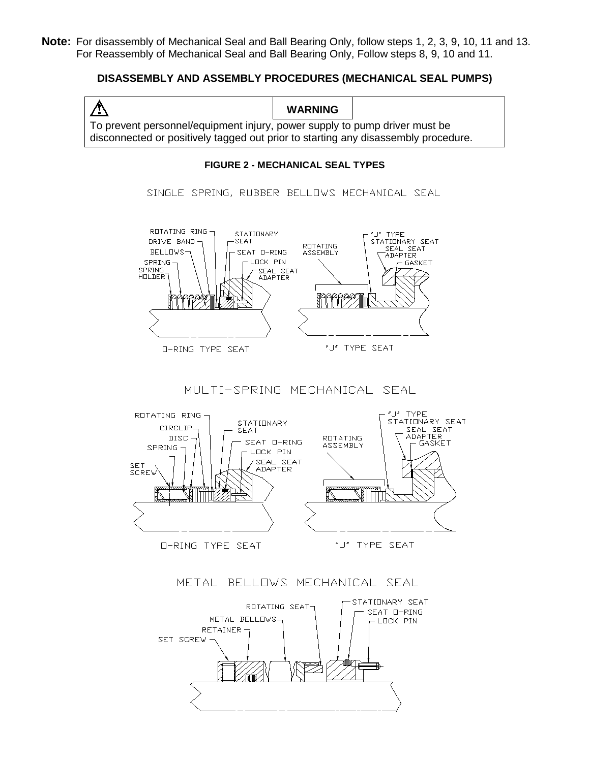**Note:** For disassembly of Mechanical Seal and Ball Bearing Only, follow steps 1, 2, 3, 9, 10, 11 and 13. For Reassembly of Mechanical Seal and Ball Bearing Only, Follow steps 8, 9, 10 and 11.

#### **DISASSEMBLY AND ASSEMBLY PROCEDURES (MECHANICAL SEAL PUMPS)**

**WARNING** To prevent personnel/equipment injury, power supply to pump driver must be disconnected or positively tagged out prior to starting any disassembly procedure.

#### **FIGURE 2 - MECHANICAL SEAL TYPES**

SINGLE SPRING, RUBBER BELLOWS MECHANICAL SEAL



MULTI-SPRING MECHANICAL SEAL



METAL BELLOWS MECHANICAL SEAL

![](_page_5_Figure_9.jpeg)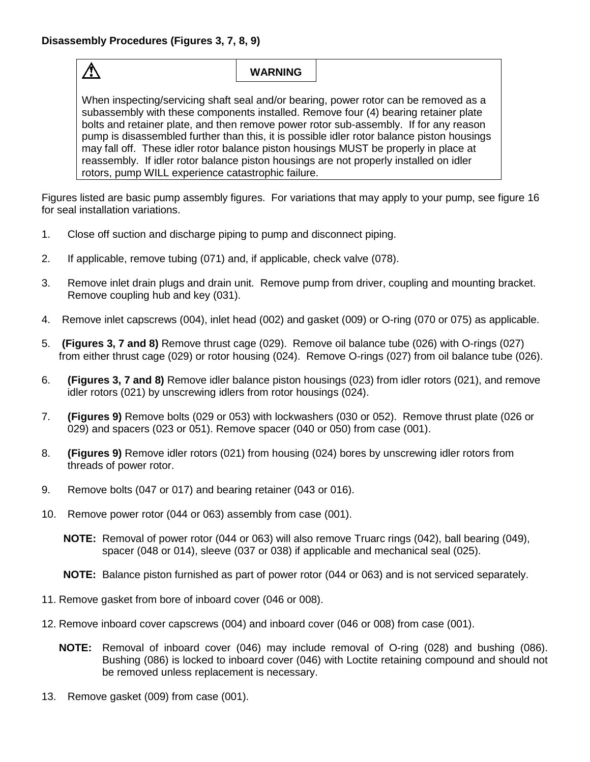$\bigwedge$ 

# **WARNING**

When inspecting/servicing shaft seal and/or bearing, power rotor can be removed as a subassembly with these components installed. Remove four (4) bearing retainer plate bolts and retainer plate, and then remove power rotor sub-assembly. If for any reason pump is disassembled further than this, it is possible idler rotor balance piston housings may fall off. These idler rotor balance piston housings MUST be properly in place at reassembly. If idler rotor balance piston housings are not properly installed on idler rotors, pump WILL experience catastrophic failure.

Figures listed are basic pump assembly figures. For variations that may apply to your pump, see figure 16 for seal installation variations.

- 1. Close off suction and discharge piping to pump and disconnect piping.
- 2. If applicable, remove tubing (071) and, if applicable, check valve (078).
- 3. Remove inlet drain plugs and drain unit. Remove pump from driver, coupling and mounting bracket. Remove coupling hub and key (031).
- 4. Remove inlet capscrews (004), inlet head (002) and gasket (009) or O-ring (070 or 075) as applicable.
- 5. **(Figures 3, 7 and 8)** Remove thrust cage (029). Remove oil balance tube (026) with O-rings (027) from either thrust cage (029) or rotor housing (024). Remove O-rings (027) from oil balance tube (026).
- 6. **(Figures 3, 7 and 8)** Remove idler balance piston housings (023) from idler rotors (021), and remove idler rotors (021) by unscrewing idlers from rotor housings (024).
- 7. **(Figures 9)** Remove bolts (029 or 053) with lockwashers (030 or 052). Remove thrust plate (026 or 029) and spacers (023 or 051). Remove spacer (040 or 050) from case (001).
- 8. **(Figures 9)** Remove idler rotors (021) from housing (024) bores by unscrewing idler rotors from threads of power rotor.
- 9. Remove bolts (047 or 017) and bearing retainer (043 or 016).
- 10. Remove power rotor (044 or 063) assembly from case (001).
	- **NOTE:** Removal of power rotor (044 or 063) will also remove Truarc rings (042), ball bearing (049), spacer (048 or 014), sleeve (037 or 038) if applicable and mechanical seal (025).

**NOTE:** Balance piston furnished as part of power rotor (044 or 063) and is not serviced separately.

- 11. Remove gasket from bore of inboard cover (046 or 008).
- 12. Remove inboard cover capscrews (004) and inboard cover (046 or 008) from case (001).
	- **NOTE:** Removal of inboard cover (046) may include removal of O-ring (028) and bushing (086). Bushing (086) is locked to inboard cover (046) with Loctite retaining compound and should not be removed unless replacement is necessary.
- 13. Remove gasket (009) from case (001).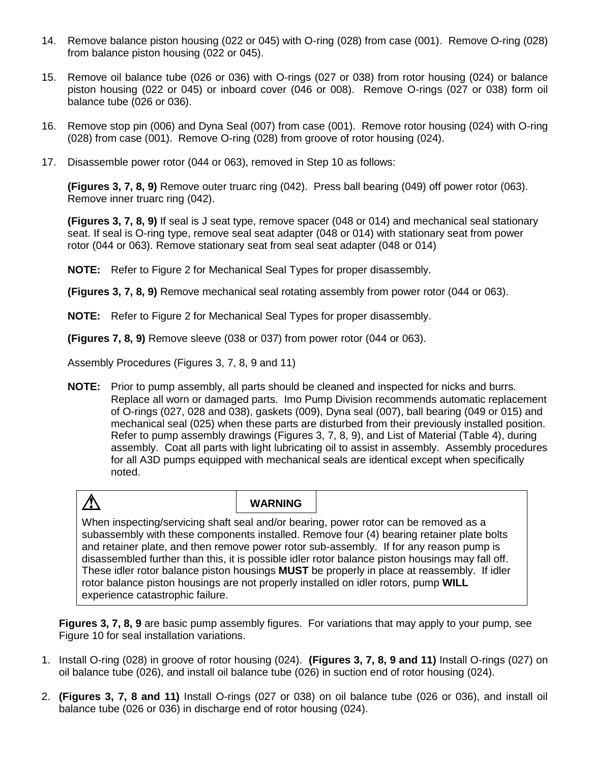- 14. Remove balance piston housing (022 or 045) with O-ring (028) from case (001). Remove O-ring (028) from balance piston housing (022 or 045).
- 15. Remove oil balance tube (026 or 036) with O-rings (027 or 038) from rotor housing (024) or balance piston housing (022 or 045) or inboard cover (046 or 008). Remove O-rings (027 or 038) form oil balance tube (026 or 036).
- 16. Remove stop pin (006) and Dyna Seal (007) from case (001). Remove rotor housing (024) with O-ring (028) from case (001). Remove O-ring (028) from groove of rotor housing (024).
- 17. Disassemble power rotor (044 or 063), removed in Step 10 as follows:

**(Figures 3, 7, 8, 9)** Remove outer truarc ring (042). Press ball bearing (049) off power rotor (063). Remove inner truarc ring (042).

**(Figures 3, 7, 8, 9)** If seal is J seat type, remove spacer (048 or 014) and mechanical seal stationary seat. If seal is O-ring type, remove seal seat adapter (048 or 014) with stationary seat from power rotor (044 or 063). Remove stationary seat from seal seat adapter (048 or 014)

**NOTE:** Refer to Figure 2 for Mechanical Seal Types for proper disassembly.

**(Figures 3, 7, 8, 9)** Remove mechanical seal rotating assembly from power rotor (044 or 063).

**NOTE:** Refer to Figure 2 for Mechanical Seal Types for proper disassembly.

**(Figures 7, 8, 9)** Remove sleeve (038 or 037) from power rotor (044 or 063).

Assembly Procedures (Figures 3, 7, 8, 9 and 11)

**NOTE:** Prior to pump assembly, all parts should be cleaned and inspected for nicks and burrs. Replace all worn or damaged parts. Imo Pump Division recommends automatic replacement of O-rings (027, 028 and 038), gaskets (009), Dyna seal (007), ball bearing (049 or 015) and mechanical seal (025) when these parts are disturbed from their previously installed position. Refer to pump assembly drawings (Figures 3, 7, 8, 9), and List of Material (Table 4), during assembly. Coat all parts with light lubricating oil to assist in assembly. Assembly procedures for all A3D pumps equipped with mechanical seals are identical except when specifically noted.

# $\bigwedge$

**WARNING**

When inspecting/servicing shaft seal and/or bearing, power rotor can be removed as a subassembly with these components installed. Remove four (4) bearing retainer plate bolts and retainer plate, and then remove power rotor sub-assembly. If for any reason pump is disassembled further than this, it is possible idler rotor balance piston housings may fall off. These idler rotor balance piston housings **MUST** be properly in place at reassembly. If idler rotor balance piston housings are not properly installed on idler rotors, pump **WILL** experience catastrophic failure.

**Figures 3, 7, 8, 9** are basic pump assembly figures. For variations that may apply to your pump, see Figure 10 for seal installation variations.

- 1. Install O-ring (028) in groove of rotor housing (024). **(Figures 3, 7, 8, 9 and 11)** Install O-rings (027) on oil balance tube (026), and install oil balance tube (026) in suction end of rotor housing (024).
- 2. **(Figures 3, 7, 8 and 11)** Install O-rings (027 or 038) on oil balance tube (026 or 036), and install oil balance tube (026 or 036) in discharge end of rotor housing (024).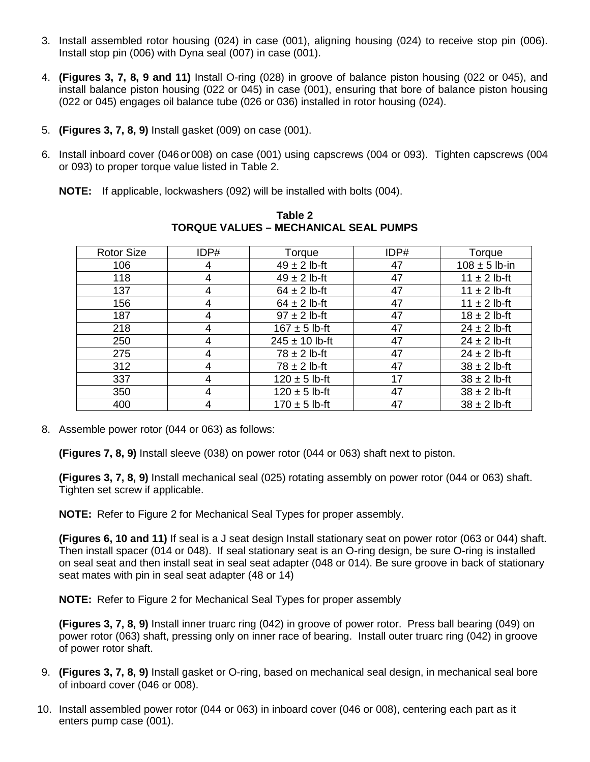- 3. Install assembled rotor housing (024) in case (001), aligning housing (024) to receive stop pin (006). Install stop pin (006) with Dyna seal (007) in case (001).
- 4. **(Figures 3, 7, 8, 9 and 11)** Install O-ring (028) in groove of balance piston housing (022 or 045), and install balance piston housing (022 or 045) in case (001), ensuring that bore of balance piston housing (022 or 045) engages oil balance tube (026 or 036) installed in rotor housing (024).
- 5. **(Figures 3, 7, 8, 9)** Install gasket (009) on case (001).
- 6. Install inboard cover (046or008) on case (001) using capscrews (004 or 093). Tighten capscrews (004 or 093) to proper torque value listed in Table 2.
	- **NOTE:** If applicable, lockwashers (092) will be installed with bolts (004).

| <b>Rotor Size</b> | IDP# | Torque             | IDP# | Torque            |
|-------------------|------|--------------------|------|-------------------|
| 106               | 4    | $49 \pm 2$ lb-ft   | 47   | $108 \pm 5$ lb-in |
| 118               | 4    | $49 \pm 2$ lb-ft   | 47   | $11 \pm 2$ lb-ft  |
| 137               | 4    | $64 \pm 2$ lb-ft   | 47   | $11 \pm 2$ lb-ft  |
| 156               |      | $64 \pm 2$ lb-ft   | 47   | $11 \pm 2$ lb-ft  |
| 187               | 4    | $97 \pm 2$ lb-ft   | 47   | $18 \pm 2$ lb-ft  |
| 218               | 4    | $167 \pm 5$ lb-ft  | 47   | $24 \pm 2$ lb-ft  |
| 250               | 4    | $245 \pm 10$ lb-ft | 47   | $24 \pm 2$ lb-ft  |
| 275               | 4    | $78 \pm 2$ lb-ft   | 47   | $24 \pm 2$ lb-ft  |
| 312               |      | $78 \pm 2$ lb-ft   | 47   | $38 \pm 2$ lb-ft  |
| 337               |      | $120 \pm 5$ lb-ft  | 17   | $38 \pm 2$ lb-ft  |
| 350               |      | $120 \pm 5$ lb-ft  | 47   | $38 \pm 2$ lb-ft  |
| 400               | 4    | $170 \pm 5$ lb-ft  | 47   | $38 \pm 2$ lb-ft  |

**Table 2 TORQUE VALUES – MECHANICAL SEAL PUMPS**

8. Assemble power rotor (044 or 063) as follows:

**(Figures 7, 8, 9)** Install sleeve (038) on power rotor (044 or 063) shaft next to piston.

**(Figures 3, 7, 8, 9)** Install mechanical seal (025) rotating assembly on power rotor (044 or 063) shaft. Tighten set screw if applicable.

**NOTE:** Refer to Figure 2 for Mechanical Seal Types for proper assembly.

**(Figures 6, 10 and 11)** If seal is a J seat design Install stationary seat on power rotor (063 or 044) shaft. Then install spacer (014 or 048). If seal stationary seat is an O-ring design, be sure O-ring is installed on seal seat and then install seat in seal seat adapter (048 or 014). Be sure groove in back of stationary seat mates with pin in seal seat adapter (48 or 14)

**NOTE:** Refer to Figure 2 for Mechanical Seal Types for proper assembly

**(Figures 3, 7, 8, 9)** Install inner truarc ring (042) in groove of power rotor. Press ball bearing (049) on power rotor (063) shaft, pressing only on inner race of bearing. Install outer truarc ring (042) in groove of power rotor shaft.

- 9. **(Figures 3, 7, 8, 9)** Install gasket or O-ring, based on mechanical seal design, in mechanical seal bore of inboard cover (046 or 008).
- 10. Install assembled power rotor (044 or 063) in inboard cover (046 or 008), centering each part as it enters pump case (001).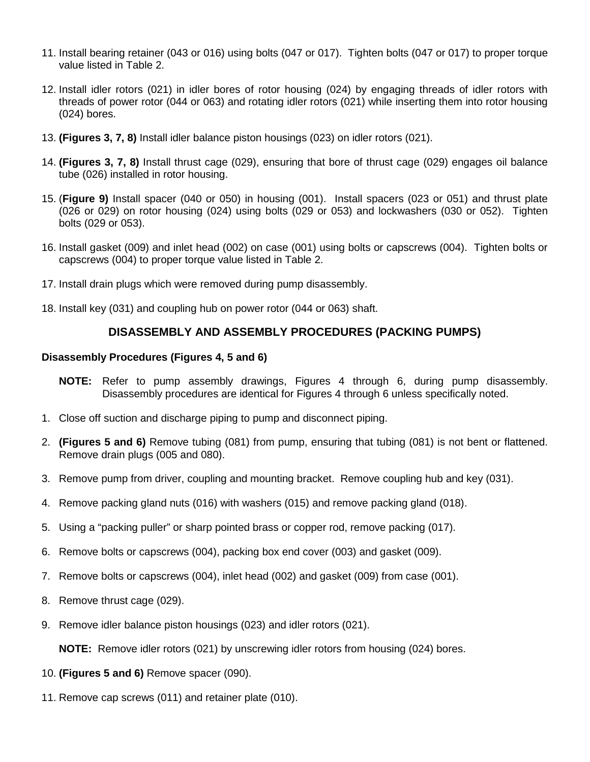- 11. Install bearing retainer (043 or 016) using bolts (047 or 017). Tighten bolts (047 or 017) to proper torque value listed in Table 2.
- 12. Install idler rotors (021) in idler bores of rotor housing (024) by engaging threads of idler rotors with threads of power rotor (044 or 063) and rotating idler rotors (021) while inserting them into rotor housing (024) bores.
- 13. **(Figures 3, 7, 8)** Install idler balance piston housings (023) on idler rotors (021).
- 14. **(Figures 3, 7, 8)** Install thrust cage (029), ensuring that bore of thrust cage (029) engages oil balance tube (026) installed in rotor housing.
- 15. (**Figure 9)** Install spacer (040 or 050) in housing (001). Install spacers (023 or 051) and thrust plate (026 or 029) on rotor housing (024) using bolts (029 or 053) and lockwashers (030 or 052). Tighten bolts (029 or 053).
- 16. Install gasket (009) and inlet head (002) on case (001) using bolts or capscrews (004). Tighten bolts or capscrews (004) to proper torque value listed in Table 2.
- 17. Install drain plugs which were removed during pump disassembly.
- 18. Install key (031) and coupling hub on power rotor (044 or 063) shaft.

#### **DISASSEMBLY AND ASSEMBLY PROCEDURES (PACKING PUMPS)**

#### **Disassembly Procedures (Figures 4, 5 and 6)**

- **NOTE:** Refer to pump assembly drawings, Figures 4 through 6, during pump disassembly. Disassembly procedures are identical for Figures 4 through 6 unless specifically noted.
- 1. Close off suction and discharge piping to pump and disconnect piping.
- 2. **(Figures 5 and 6)** Remove tubing (081) from pump, ensuring that tubing (081) is not bent or flattened. Remove drain plugs (005 and 080).
- 3. Remove pump from driver, coupling and mounting bracket. Remove coupling hub and key (031).
- 4. Remove packing gland nuts (016) with washers (015) and remove packing gland (018).
- 5. Using a "packing puller" or sharp pointed brass or copper rod, remove packing (017).
- 6. Remove bolts or capscrews (004), packing box end cover (003) and gasket (009).
- 7. Remove bolts or capscrews (004), inlet head (002) and gasket (009) from case (001).
- 8. Remove thrust cage (029).
- 9. Remove idler balance piston housings (023) and idler rotors (021).

**NOTE:** Remove idler rotors (021) by unscrewing idler rotors from housing (024) bores.

- 10. **(Figures 5 and 6)** Remove spacer (090).
- 11. Remove cap screws (011) and retainer plate (010).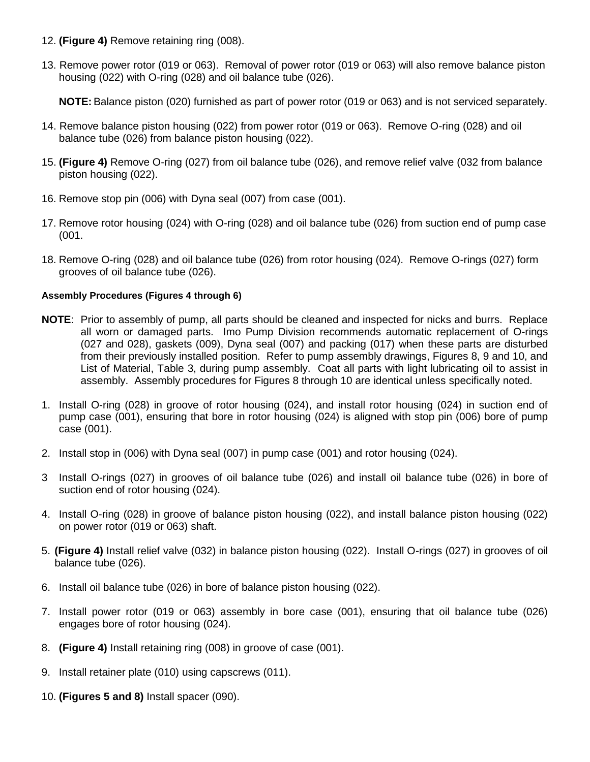- 12. **(Figure 4)** Remove retaining ring (008).
- 13. Remove power rotor (019 or 063). Removal of power rotor (019 or 063) will also remove balance piston housing (022) with O-ring (028) and oil balance tube (026).

**NOTE:** Balance piston (020) furnished as part of power rotor (019 or 063) and is not serviced separately.

- 14. Remove balance piston housing (022) from power rotor (019 or 063). Remove O-ring (028) and oil balance tube (026) from balance piston housing (022).
- 15. **(Figure 4)** Remove O-ring (027) from oil balance tube (026), and remove relief valve (032 from balance piston housing (022).
- 16. Remove stop pin (006) with Dyna seal (007) from case (001).
- 17. Remove rotor housing (024) with O-ring (028) and oil balance tube (026) from suction end of pump case (001.
- 18. Remove O-ring (028) and oil balance tube (026) from rotor housing (024). Remove O-rings (027) form grooves of oil balance tube (026).

#### **Assembly Procedures (Figures 4 through 6)**

- **NOTE**: Prior to assembly of pump, all parts should be cleaned and inspected for nicks and burrs. Replace all worn or damaged parts. Imo Pump Division recommends automatic replacement of O-rings (027 and 028), gaskets (009), Dyna seal (007) and packing (017) when these parts are disturbed from their previously installed position. Refer to pump assembly drawings, Figures 8, 9 and 10, and List of Material, Table 3, during pump assembly. Coat all parts with light lubricating oil to assist in assembly. Assembly procedures for Figures 8 through 10 are identical unless specifically noted.
- 1. Install O-ring (028) in groove of rotor housing (024), and install rotor housing (024) in suction end of pump case (001), ensuring that bore in rotor housing (024) is aligned with stop pin (006) bore of pump case (001).
- 2. Install stop in (006) with Dyna seal (007) in pump case (001) and rotor housing (024).
- 3 Install O-rings (027) in grooves of oil balance tube (026) and install oil balance tube (026) in bore of suction end of rotor housing (024).
- 4. Install O-ring (028) in groove of balance piston housing (022), and install balance piston housing (022) on power rotor (019 or 063) shaft.
- 5. **(Figure 4)** Install relief valve (032) in balance piston housing (022). Install O-rings (027) in grooves of oil balance tube (026).
- 6. Install oil balance tube (026) in bore of balance piston housing (022).
- 7. Install power rotor (019 or 063) assembly in bore case (001), ensuring that oil balance tube (026) engages bore of rotor housing (024).
- 8. **(Figure 4)** Install retaining ring (008) in groove of case (001).
- 9. Install retainer plate (010) using capscrews (011).
- 10. **(Figures 5 and 8)** Install spacer (090).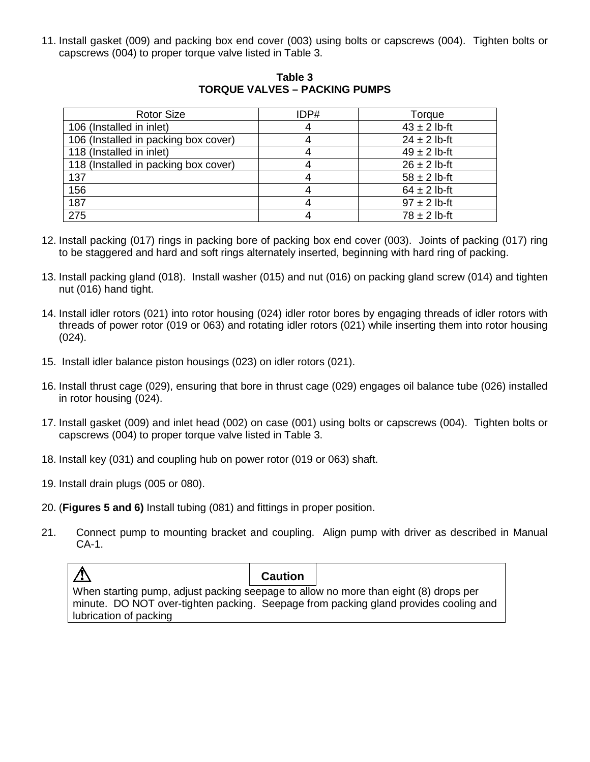11. Install gasket (009) and packing box end cover (003) using bolts or capscrews (004). Tighten bolts or capscrews (004) to proper torque valve listed in Table 3.

| <b>Rotor Size</b>                    | IDP# | Torque           |
|--------------------------------------|------|------------------|
| 106 (Installed in inlet)             |      | $43 \pm 2$ lb-ft |
| 106 (Installed in packing box cover) |      | $24 \pm 2$ lb-ft |
| 118 (Installed in inlet)             |      | $49 \pm 2$ lb-ft |
| 118 (Installed in packing box cover) |      | $26 \pm 2$ lb-ft |
| 137                                  |      | $58 \pm 2$ lb-ft |
| 156                                  |      | $64 \pm 2$ lb-ft |
| 187                                  |      | $97 \pm 2$ lb-ft |
| $\overline{275}$                     |      | $78 \pm 2$ lb-ft |

**Table 3 TORQUE VALVES – PACKING PUMPS**

- 12. Install packing (017) rings in packing bore of packing box end cover (003). Joints of packing (017) ring to be staggered and hard and soft rings alternately inserted, beginning with hard ring of packing.
- 13. Install packing gland (018). Install washer (015) and nut (016) on packing gland screw (014) and tighten nut (016) hand tight.
- 14. Install idler rotors (021) into rotor housing (024) idler rotor bores by engaging threads of idler rotors with threads of power rotor (019 or 063) and rotating idler rotors (021) while inserting them into rotor housing (024).
- 15. Install idler balance piston housings (023) on idler rotors (021).
- 16. Install thrust cage (029), ensuring that bore in thrust cage (029) engages oil balance tube (026) installed in rotor housing (024).
- 17. Install gasket (009) and inlet head (002) on case (001) using bolts or capscrews (004). Tighten bolts or capscrews (004) to proper torque valve listed in Table 3.
- 18. Install key (031) and coupling hub on power rotor (019 or 063) shaft.
- 19. Install drain plugs (005 or 080).
- 20. (**Figures 5 and 6)** Install tubing (081) and fittings in proper position.
- 21. Connect pump to mounting bracket and coupling. Align pump with driver as described in Manual CA-1.

**Caution** When starting pump, adjust packing seepage to allow no more than eight (8) drops per minute. DO NOT over-tighten packing. Seepage from packing gland provides cooling and lubrication of packing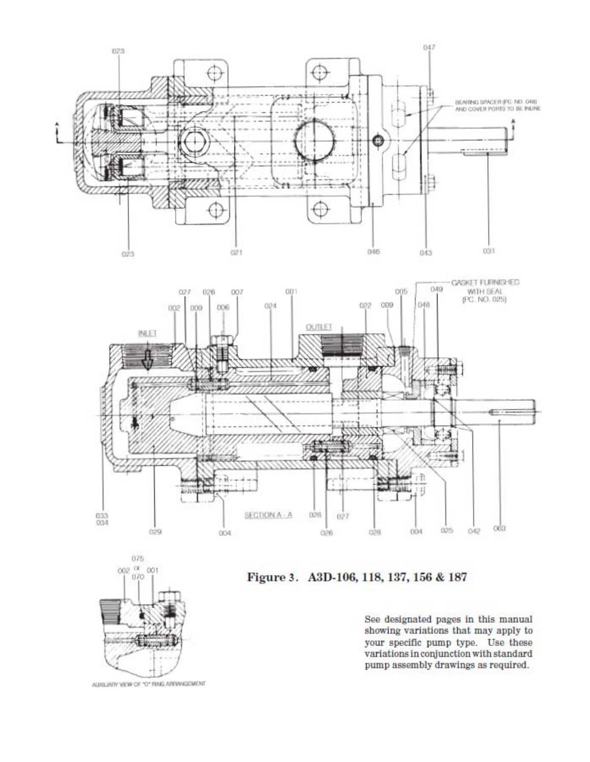![](_page_12_Figure_0.jpeg)

![](_page_12_Figure_1.jpeg)

![](_page_12_Figure_2.jpeg)

Figure 3. A3D-106, 118, 137, 156 & 187

AUGUAIN VEW OF "O" RING AREWHODMENT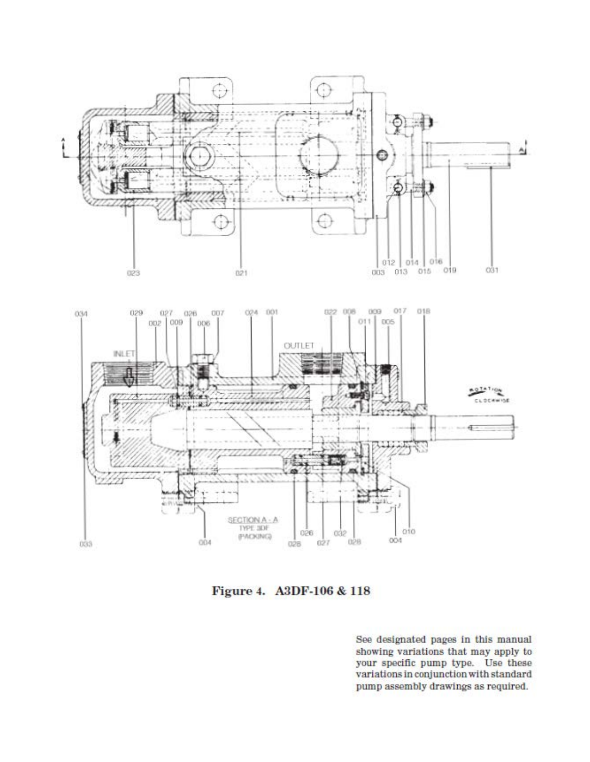![](_page_13_Figure_0.jpeg)

Figure 4. A3DF-106 & 118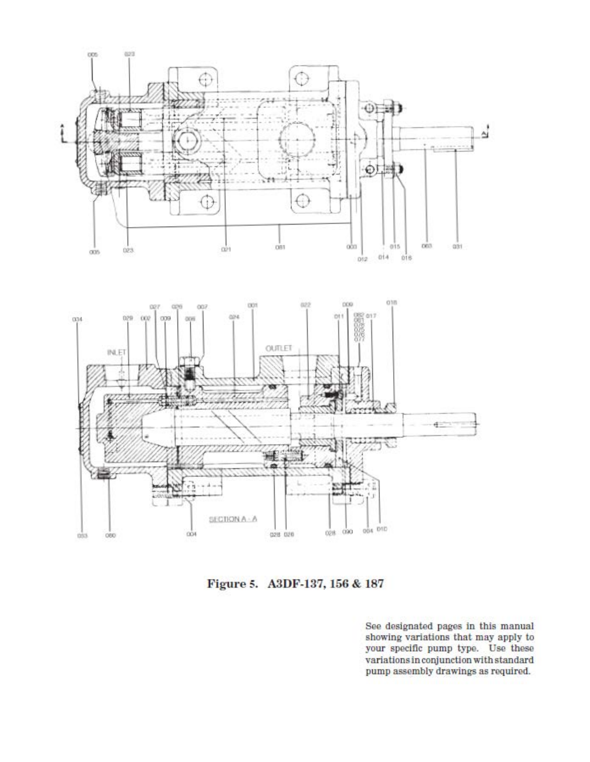![](_page_14_Figure_0.jpeg)

Figure 5. A3DF-137, 156 & 187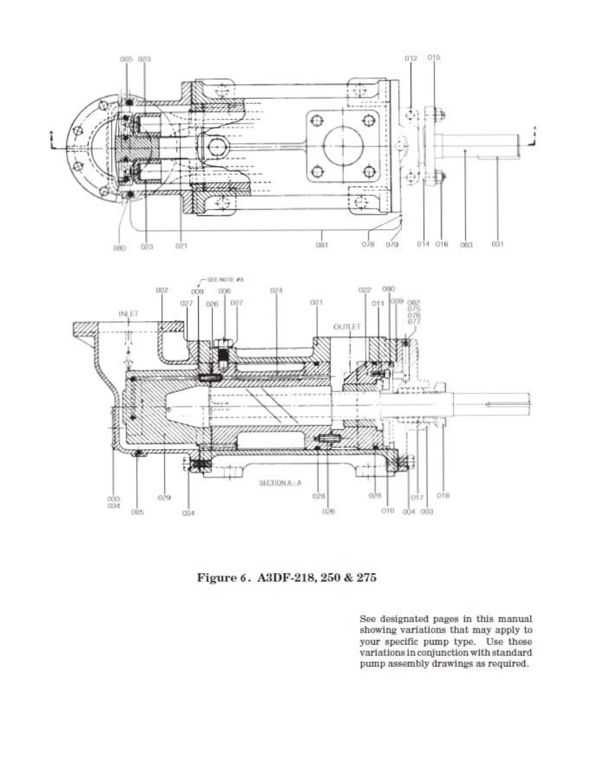![](_page_15_Figure_0.jpeg)

Figure 6. A3DF-218, 250 & 275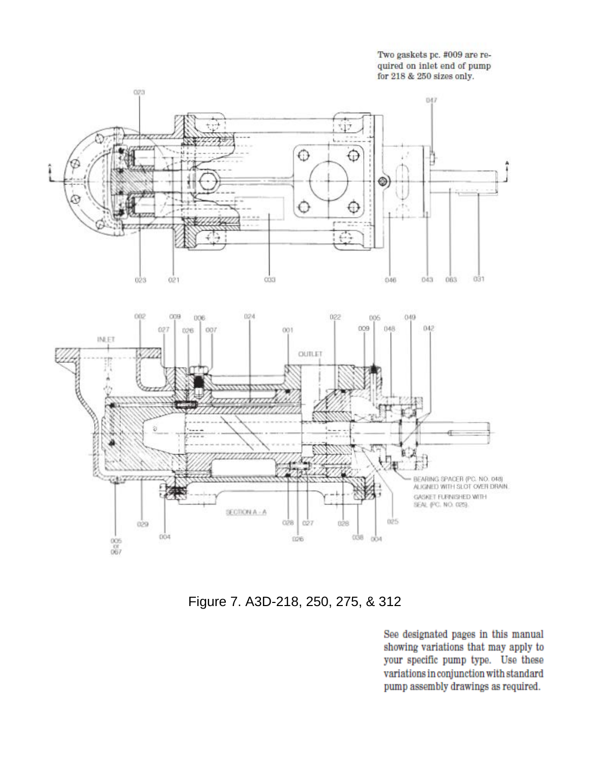Two gaskets pc. #009 are required on inlet end of pump for 218 & 250 sizes only.

![](_page_16_Figure_1.jpeg)

Figure 7. A3D-218, 250, 275, & 312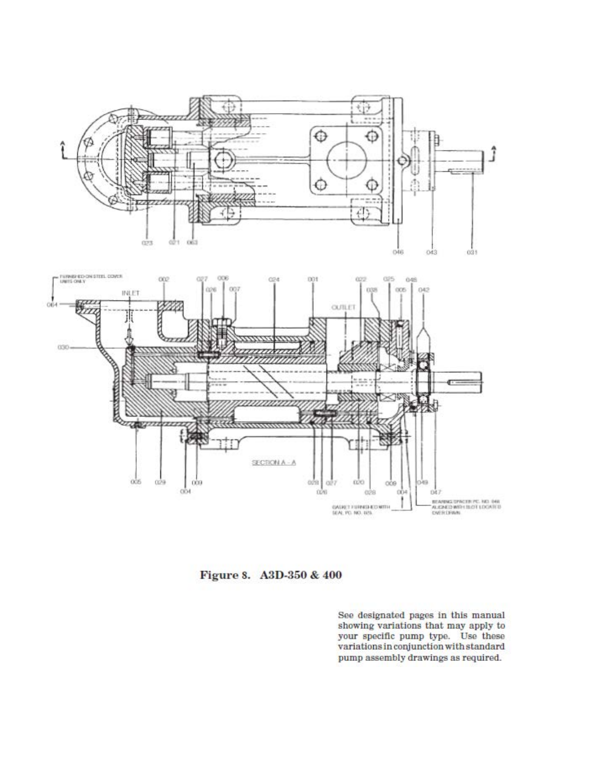![](_page_17_Figure_0.jpeg)

#### Figure 8. A3D-350 & 400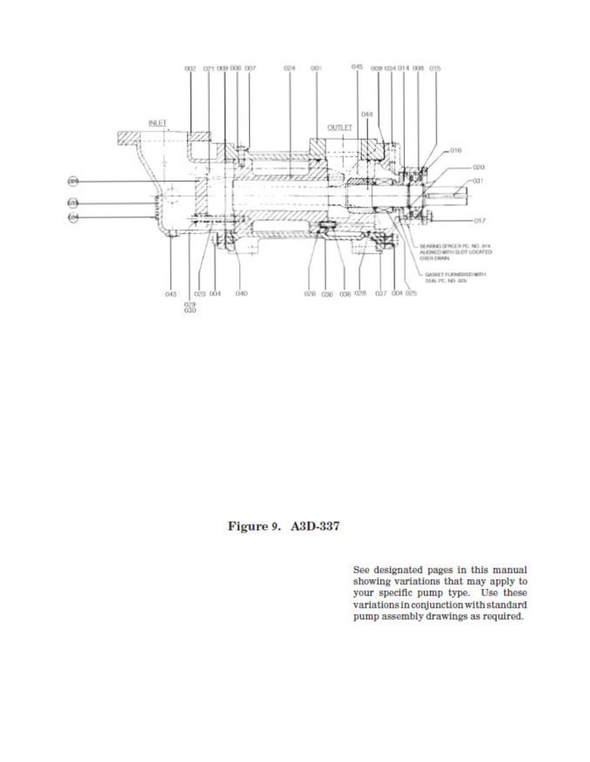![](_page_18_Figure_0.jpeg)

Figure 9. A3D-337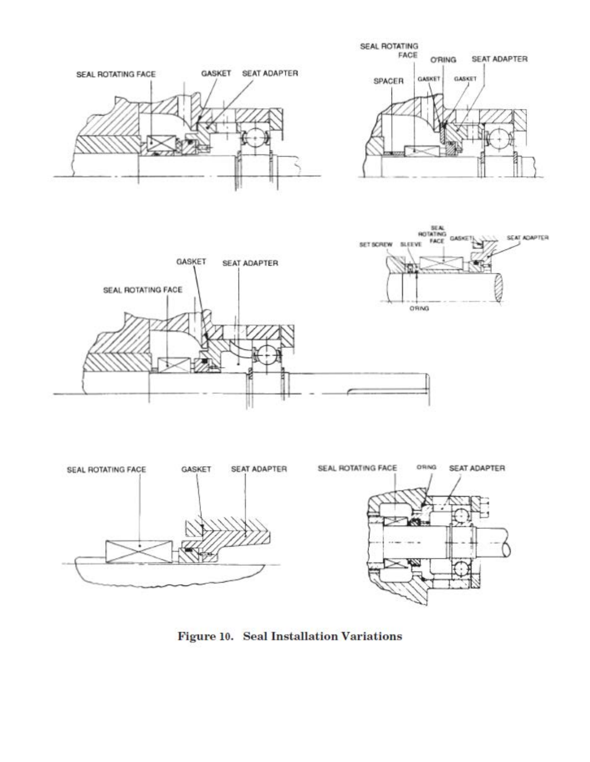![](_page_19_Figure_0.jpeg)

![](_page_19_Figure_1.jpeg)

![](_page_19_Figure_2.jpeg)

![](_page_19_Figure_3.jpeg)

Figure 10. Seal Installation Variations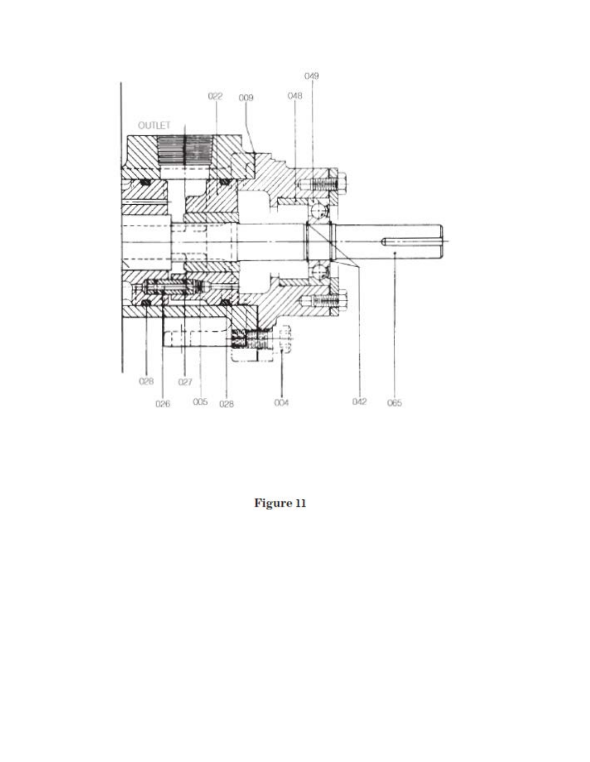![](_page_20_Figure_0.jpeg)

Figure 11